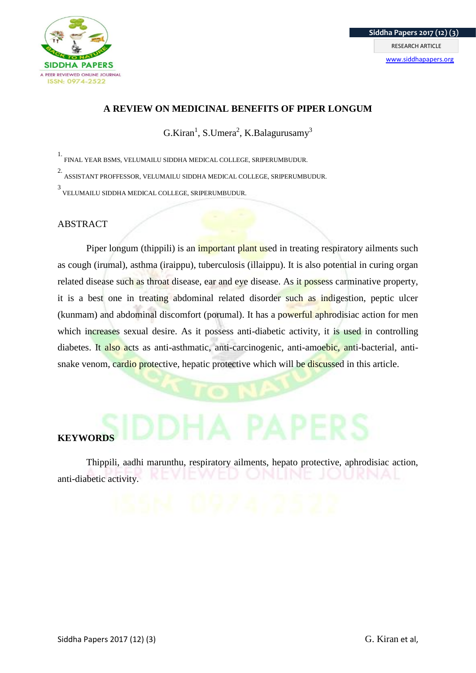

#### **A REVIEW ON MEDICINAL BENEFITS OF PIPER LONGUM**

 $G.Kiran<sup>1</sup>, S.Umera<sup>2</sup>, K.Balagurusamy<sup>3</sup>$ 

1. FINAL YEAR BSMS, VELUMAILU SIDDHA MEDICAL COLLEGE, SRIPERUMBUDUR.

2. ASSISTANT PROFFESSOR, VELUMAILU SIDDHA MEDICAL COLLEGE, SRIPERUMBUDUR.

3 VELUMAILU SIDDHA MEDICAL COLLEGE, SRIPERUMBUDUR.

#### ABSTRACT

Piper longum (thippili) is an *important plant used in treating respiratory ailments such* as cough (irumal), asthma (iraippu), tuberculosis (illaippu). It is also potential in curing organ related disease such as throat disease, ear and eye disease. As it possess carminative property, it is a best one in treating abdominal related disorder such as indigestion, peptic ulcer (kunmam) and abdominal discomfort (porumal). It has a powerful aphrodisiac action for men which increases sexual desire. As it possess anti-diabetic activity, it is used in controlling diabetes. It also acts as anti-asthmatic, anti-carcinogenic, anti-amoebic, anti-bacterial, antisnake venom, cardio protective, hepatic protective which will be discussed in this article.

# **KEYWORDS**

Thippili, aadhi marunthu, respiratory ailments, hepato protective, aphrodisiac action, anti-diabetic activity.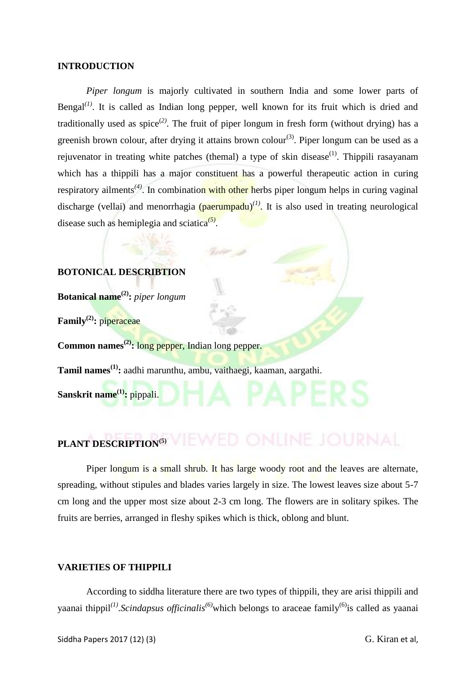#### **INTRODUCTION**

*Piper longum* is majorly cultivated in southern India and some lower parts of Bengal<sup> $(1)$ </sup>. It is called as Indian long pepper, well known for its fruit which is dried and traditionally used as spice<sup>(2)</sup>. The fruit of piper longum in fresh form (without drying) has a greenish brown colour, after drying it attains brown colour<sup>(3)</sup>. Piper longum can be used as a rejuvenator in treating white patches (themal) a type of skin disease<sup> $(1)$ </sup>. Thippili rasayanam which has a thippili has a major constituent has a powerful therapeutic action in curing respiratory ailments<sup>(4)</sup>. In combination with other herbs piper longum helps in curing vaginal discharge (vellai) and menorrhagia (paerumpadu)<sup>(1)</sup>. It is also used in treating neurological disease such as hemiplegia and sciatica*(5)* .

#### **BOTONICAL DESCRIBTION**

**Botanical name(2):** *piper longum*

**Family(2):** piperaceae

**Common names(2):** long pepper, Indian long pepper.

**Tamil names(1):** aadhi marunthu, ambu, vaithaegi, kaaman, aargathi.

**Sanskrit name(1):** pippali.

# **PLANT DESCRIPTION(5)**

Piper longum is a small shrub. It has large woody root and the leaves are alternate, spreading, without stipules and blades varies largely in size. The lowest leaves size about 5-7 cm long and the upper most size about 2-3 cm long. The flowers are in solitary spikes. The fruits are berries, arranged in fleshy spikes which is thick, oblong and blunt.

#### **VARIETIES OF THIPPILI**

According to siddha literature there are two types of thippili, they are arisi thippili and yaanai thippil*(1)* .*Scindapsus officinalis(6)*which belongs to araceae family(6)is called as yaanai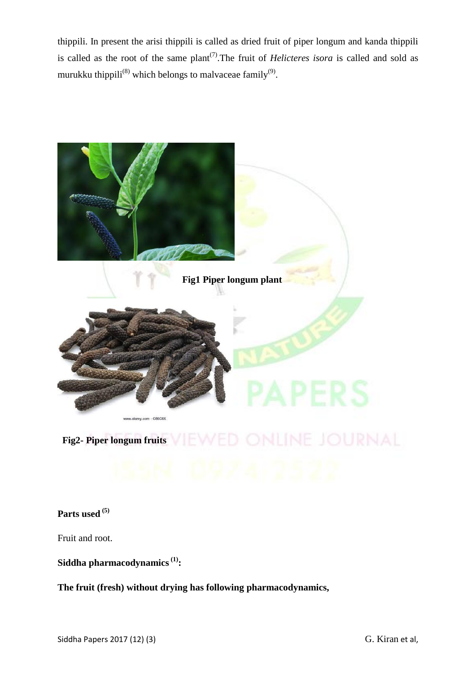thippili. In present the arisi thippili is called as dried fruit of piper longum and kanda thippili is called as the root of the same plant<sup> $(7)$ </sup>. The fruit of *Helicteres isora* is called and sold as murukku thippili<sup>(8)</sup> which belongs to malvaceae family<sup>(9)</sup>.



**Parts used (5)**

Fruit and root.

**Siddha pharmacodynamics(1):**

**The fruit (fresh) without drying has following pharmacodynamics,**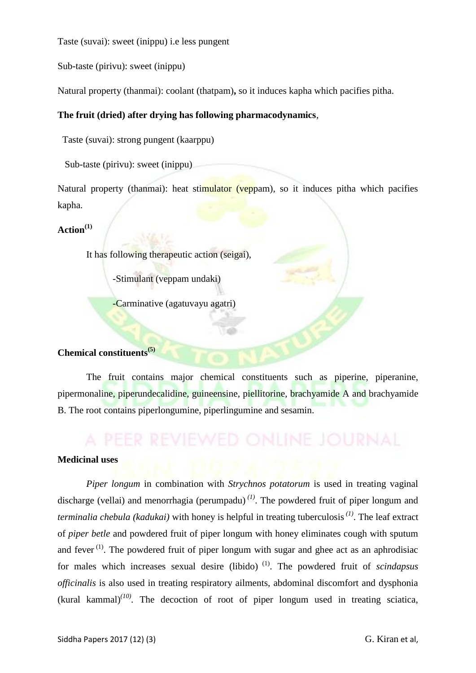Taste (suvai): sweet (inippu) i.e less pungent

Sub-taste (pirivu): sweet (inippu)

Natural property (thanmai): coolant (thatpam)**,** so it induces kapha which pacifies pitha.

#### **The fruit (dried) after drying has following pharmacodynamics**,

Taste (suvai): strong pungent (kaarppu)

Sub-taste (pirivu): sweet (inippu)

Natural property (thanmai): heat stimulator (veppam), so it induces pitha which pacifies kapha.

#### **Action(1)**

It has following therapeutic action (seigai),

-Stimulant (veppam undaki)

-Carminative (agatuvayu agatri)

#### **Chemical constituents(5)**

The fruit contains major chemical constituents such as piperine, piperanine, pipermonaline, piperundecalidine, guineensine, piellitorine, brachyamide A and brachyamide B. The root contains piperlongumine, piperlingumine and sesamin.

#### **Medicinal uses**

*Piper longum* in combination with *Strychnos potatorum* is used in treating vaginal discharge (vellai) and menorrhagia (perumpadu)<sup>(1)</sup>. The powdered fruit of piper longum and *terminalia chebula (kadukai)* with honey is helpful in treating tuberculosis*(1)*. The leaf extract of *piper betle* and powdered fruit of piper longum with honey eliminates cough with sputum and fever  $(1)$ . The powdered fruit of piper longum with sugar and ghee act as an aphrodisiac for males which increases sexual desire (libido) (1). The powdered fruit of *scindapsus officinalis* is also used in treating respiratory ailments, abdominal discomfort and dysphonia  $(kural)$  kammal)<sup>(10)</sup>. The decoction of root of piper longum used in treating sciatica,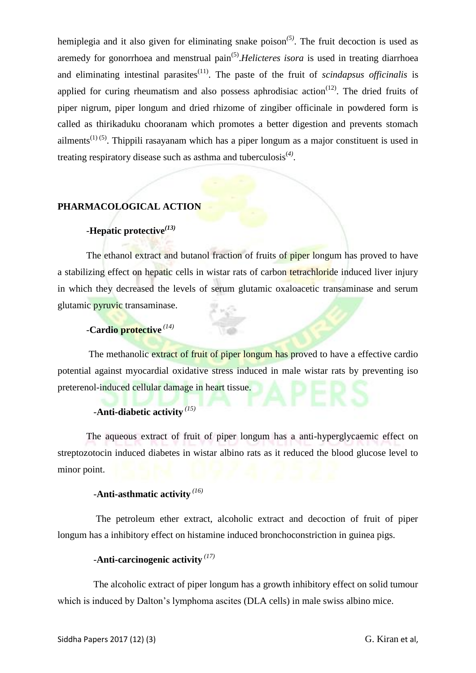hemiplegia and it also given for eliminating snake poison*(5)*. The fruit decoction is used as aremedy for gonorrhoea and menstrual pain<sup>(5)</sup>. *Helicteres isora* is used in treating diarrhoea and eliminating intestinal parasites<sup> $(11)$ </sup>. The paste of the fruit of *scindapsus officinalis* is applied for curing rheumatism and also possess aphrodisiac action<sup> $(12)$ </sup>. The dried fruits of piper nigrum, piper longum and dried rhizome of zingiber officinale in powdered form is called as thirikaduku chooranam which promotes a better digestion and prevents stomach ailments<sup>(1) (5)</sup>. Thippili rasayanam which has a piper longum as a major constituent is used in treating respiratory disease such as asthma and tuberculosis(*4)* .

#### **PHARMACOLOGICAL ACTION**

#### -**Hepatic protective***(13)*

The ethanol extract and butanol fraction of fruits of piper longum has proved to have a stabilizing effect on hepatic cells in wistar rats of carbon tetrachloride induced liver injury in which they decreased the levels of serum glutamic oxaloacetic transaminase and serum glutamic pyruvic transaminase.

#### -**Cardio protective** *(14)*

The methanolic extract of fruit of piper longum has proved to have a effective cardio potential against myocardial oxidative stress induced in male wistar rats by preventing iso preterenol-induced cellular damage in heart tissue.

# -**Anti-diabetic activity** *(15)*

 The aqueous extract of fruit of piper longum has a anti-hyperglycaemic effect on streptozotocin induced diabetes in wistar albino rats as it reduced the blood glucose level to minor point.

# -**Anti-asthmatic activity** *(16)*

 The petroleum ether extract, alcoholic extract and decoction of fruit of piper longum has a inhibitory effect on histamine induced bronchoconstriction in guinea pigs.

# -**Anti-carcinogenic activity** *(17)*

 The alcoholic extract of piper longum has a growth inhibitory effect on solid tumour which is induced by Dalton's lymphoma ascites (DLA cells) in male swiss albino mice.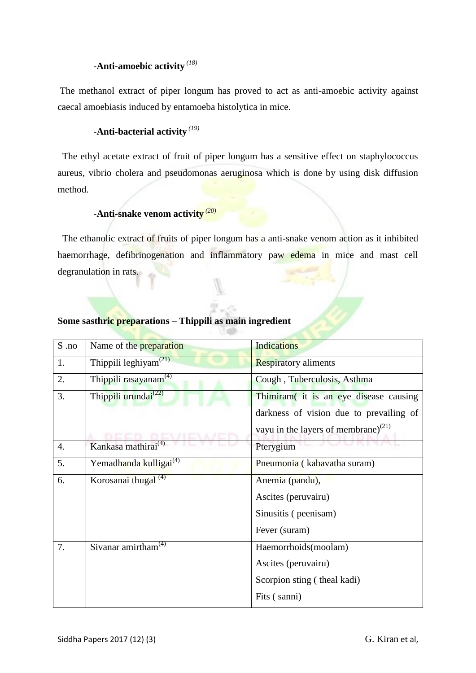# -**Anti-amoebic activity** *(18)*

The methanol extract of piper longum has proved to act as anti-amoebic activity against caecal amoebiasis induced by entamoeba histolytica in mice.

#### -**Anti-bacterial activity** *(19)*

The ethyl acetate extract of fruit of piper longum has a sensitive effect on staphylococcus aureus, vibrio cholera and pseudomonas aeruginosa which is done by using disk diffusion method.

## -**Anti-snake venom activity** *(20)*

 The ethanolic extract of fruits of piper longum has a anti-snake venom action as it inhibited haemorrhage, defibrinogenation and inflammatory paw edema in mice and mast cell degranulation in rats.

| $S$ .no | Name of the <b>preparation</b>                 | <b>Indications</b>                              |
|---------|------------------------------------------------|-------------------------------------------------|
| 1.      | Thippili leghiyam <sup><math>(21)</math></sup> | <b>Respiratory aliments</b>                     |
| 2.      | Thippili rasayanam <sup>(4)</sup>              | Cough, Tuberculosis, Asthma                     |
| 3.      | Thippili urundai <sup>(22)</sup>               | Thimiram (it is an eye disease causing          |
|         |                                                | darkness of vision due to prevailing of         |
|         |                                                | vayu in the layers of membrane) <sup>(21)</sup> |
| 4.      | Kankasa mathirai <sup>(4)</sup>                | Pterygium                                       |
| 5.      | Yemadhanda kulligai <sup>(4)</sup>             | Pneumonia (kabavatha suram)                     |
| 6.      | Korosanai thugal <sup>(4)</sup>                | Anemia (pandu),                                 |
|         |                                                | Ascites (peruvairu)                             |
|         |                                                | Sinusitis (peenisam)                            |
|         |                                                | Fever (suram)                                   |
| 7.      | Sivanar amirtham $(4)$                         | Haemorrhoids(moolam)                            |
|         |                                                | Ascites (peruvairu)                             |
|         |                                                | Scorpion sting (theal kadi)                     |
|         |                                                | Fits (sanni)                                    |

### **Some sasthric preparations – Thippili as main ingredient**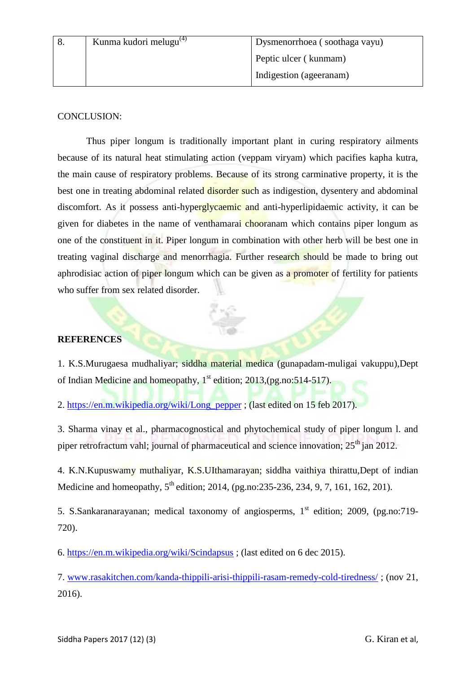#### CONCLUSION:

Thus piper longum is traditionally important plant in curing respiratory ailments because of its natural heat stimulating action (veppam viryam) which pacifies kapha kutra, the main cause of respiratory problems. Because of its strong carminative property, it is the best one in treating abdominal related disorder such as indigestion, dysentery and abdominal discomfort. As it possess anti-hyperglycaemic and anti-hyperlipidaemic activity, it can be given for diabetes in the name of venthamarai chooranam which contains piper longum as one of the constituent in it. Piper longum in combination with other herb will be best one in treating vaginal discharge and menorrhagia. Further research should be made to bring out aphrodisiac action of piper longum which can be given as a promoter of fertility for patients who suffer from sex related disorder.

#### **REFERENCES**

1. K.S.Murugaesa mudhaliyar; siddha material medica (gunapadam-muligai vakuppu),Dept of Indian Medicine and homeopathy,  $1<sup>st</sup>$  edition; 2013,(pg.no:514-517).

2. [https://en.m.wikipedia.org/wiki/Long\\_pepper](https://en.m.wikipedia.org/wiki/Long_pepper) ; (last edited on 15 feb 2017).

3. Sharma vinay et al., pharmacognostical and phytochemical study of piper longum l. and piper retrofractum vahl; journal of pharmaceutical and science innovation;  $25<sup>th</sup>$  jan 2012.

4. K.N.Kupuswamy muthaliyar, K.S.UIthamarayan; siddha vaithiya thirattu,Dept of indian Medicine and homeopathy,  $5^{th}$  edition; 2014, (pg.no:235-236, 234, 9, 7, 161, 162, 201).

5. S.Sankaranarayanan; medical taxonomy of angiosperms, 1<sup>st</sup> edition; 2009, (pg.no:719-720).

6.<https://en.m.wikipedia.org/wiki/Scindapsus> ; (last edited on 6 dec 2015).

7. [www.rasakitchen.com/kanda-thippili-arisi-thippili-rasam-remedy-cold-tiredness/](http://www.rasakitchen.com/kanda-thippili-arisi-thippili-rasam-remedy-cold-tiredness/) ; (nov 21, 2016).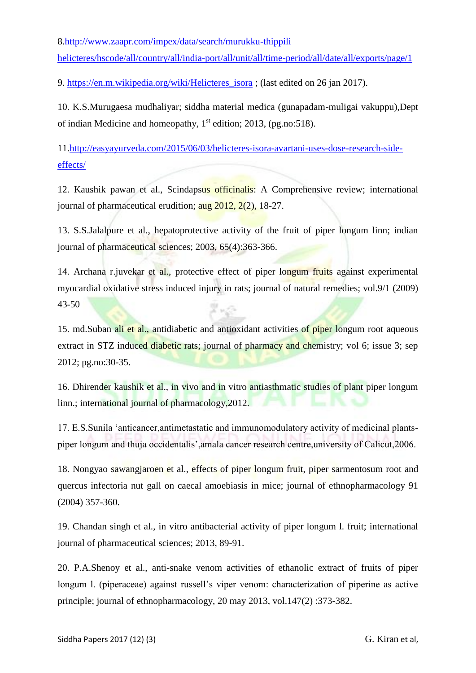8[.http://www.zaapr.com/impex/data/search/murukku-thippili](http://www.zaapr.com/impex/data/search/murukku-thippili%20helicteres/hscode/all/country/all/india-port/all/unit/all/time-period/all/date/all/exports/page/1) 

[helicteres/hscode/all/country/all/india-port/all/unit/all/time-period/all/date/all/exports/page/1](http://www.zaapr.com/impex/data/search/murukku-thippili%20helicteres/hscode/all/country/all/india-port/all/unit/all/time-period/all/date/all/exports/page/1)

9. [https://en.m.wikipedia.org/wiki/Helicteres\\_isora](https://en.m.wikipedia.org/wiki/Helicteres_isora) ; (last edited on 26 jan 2017).

10. K.S.Murugaesa mudhaliyar; siddha material medica (gunapadam-muligai vakuppu),Dept of indian Medicine and homeopathy,  $1<sup>st</sup>$  edition; 2013, (pg.no:518).

11[.http://easyayurveda.com/2015/06/03/helicteres-isora-avartani-uses-dose-research-side](http://easyayurveda.com/2015/06/03/helicteres-isora-avartani-uses-dose-research-side-effects/)[effects/](http://easyayurveda.com/2015/06/03/helicteres-isora-avartani-uses-dose-research-side-effects/)

12. Kaushik pawan et al., Scindapsus officinalis: A Comprehensive review; international journal of pharmaceutical erudition;  $\frac{\text{aug } 2012, 2(2)}{\text{aug } 2012, 2(2)}$ 

13. S.S.Jalalpure et al., hepatoprotective activity of the fruit of piper longum linn; indian journal of pharmaceutical sciences; 2003, 65(4):363-366.

14. Archana r.juvekar et al., protective effect of piper longum fruits against experimental myocardial oxidative stress induced injury in rats; journal of natural remedies; vol.9/1 (2009) 43-50 X v O

15. md. Suban ali et al., antidiabetic and antioxidant activities of piper longum root aqueous extract in STZ induced diabetic rats; journal of pharmacy and chemistry; vol 6; issue 3; sep 2012; pg.no:30-35.

16. Dhirender kaushik et al., in vivo and in vitro antiasthmatic studies of plant piper longum linn.; international journal of pharmacology, 2012.

17. E.S.Sunila 'anticancer,antimetastatic and immunomodulatory activity of medicinal plantspiper longum and thuja occidentalis',amala cancer research centre,university of Calicut,2006.

18. Nongyao sawangjaroen et al., effects of piper longum fruit, piper sarmentosum root and quercus infectoria nut gall on caecal amoebiasis in mice; journal of ethnopharmacology 91 (2004) 357-360.

19. Chandan singh et al., in vitro antibacterial activity of piper longum l. fruit; international journal of pharmaceutical sciences; 2013, 89-91.

20. P.A.Shenoy et al., anti-snake venom activities of ethanolic extract of fruits of piper longum l. (piperaceae) against russell's viper venom: characterization of piperine as active principle; journal of ethnopharmacology, 20 may 2013, vol.147(2) :373-382.